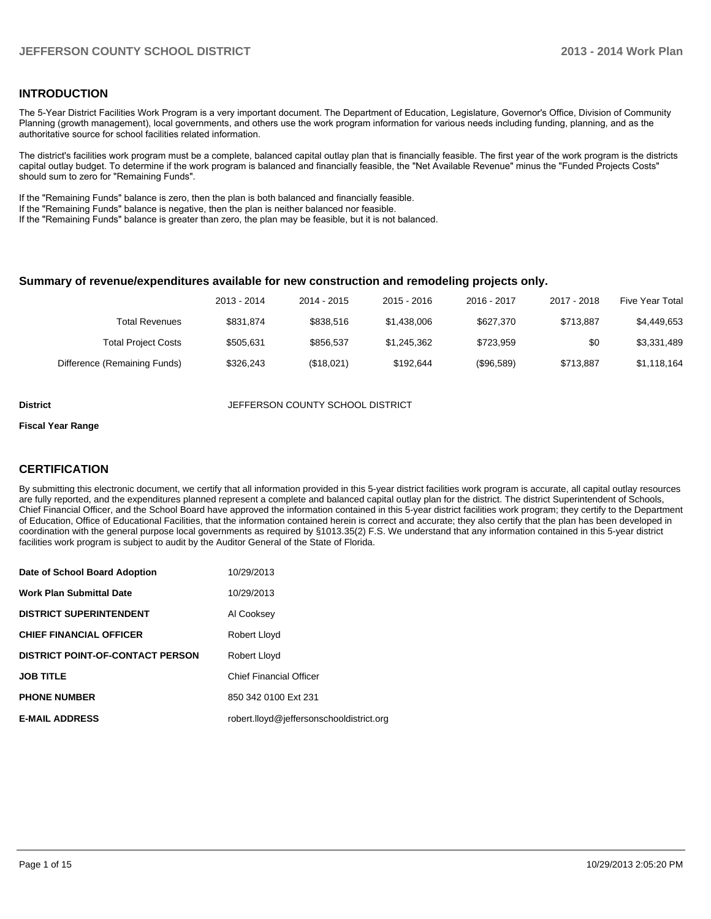### **INTRODUCTION**

The 5-Year District Facilities Work Program is a very important document. The Department of Education, Legislature, Governor's Office, Division of Community Planning (growth management), local governments, and others use the work program information for various needs including funding, planning, and as the authoritative source for school facilities related information.

The district's facilities work program must be a complete, balanced capital outlay plan that is financially feasible. The first year of the work program is the districts capital outlay budget. To determine if the work program is balanced and financially feasible, the "Net Available Revenue" minus the "Funded Projects Costs" should sum to zero for "Remaining Funds".

If the "Remaining Funds" balance is zero, then the plan is both balanced and financially feasible.

If the "Remaining Funds" balance is negative, then the plan is neither balanced nor feasible.

If the "Remaining Funds" balance is greater than zero, the plan may be feasible, but it is not balanced.

#### **Summary of revenue/expenditures available for new construction and remodeling projects only.**

| Five Year Total | 2017 - 2018 | 2016 - 2017 | $2015 - 2016$ | 2014 - 2015 | 2013 - 2014 |                              |
|-----------------|-------------|-------------|---------------|-------------|-------------|------------------------------|
| \$4,449,653     | \$713.887   | \$627,370   | \$1,438,006   | \$838.516   | \$831.874   | Total Revenues               |
| \$3,331,489     | \$0         | \$723.959   | \$1.245.362   | \$856.537   | \$505.631   | <b>Total Project Costs</b>   |
| \$1,118,164     | \$713.887   | (\$96,589)  | \$192.644     | (\$18,021)  | \$326.243   | Difference (Remaining Funds) |

**District JEFFERSON COUNTY SCHOOL DISTRICT** 

#### **Fiscal Year Range**

### **CERTIFICATION**

By submitting this electronic document, we certify that all information provided in this 5-year district facilities work program is accurate, all capital outlay resources are fully reported, and the expenditures planned represent a complete and balanced capital outlay plan for the district. The district Superintendent of Schools, Chief Financial Officer, and the School Board have approved the information contained in this 5-year district facilities work program; they certify to the Department of Education, Office of Educational Facilities, that the information contained herein is correct and accurate; they also certify that the plan has been developed in coordination with the general purpose local governments as required by §1013.35(2) F.S. We understand that any information contained in this 5-year district facilities work program is subject to audit by the Auditor General of the State of Florida.

| Date of School Board Adoption           | 10/29/2013                               |
|-----------------------------------------|------------------------------------------|
| <b>Work Plan Submittal Date</b>         | 10/29/2013                               |
| <b>DISTRICT SUPERINTENDENT</b>          | Al Cooksey                               |
| <b>CHIEF FINANCIAL OFFICER</b>          | Robert Lloyd                             |
| <b>DISTRICT POINT-OF-CONTACT PERSON</b> | Robert Lloyd                             |
| <b>JOB TITLE</b>                        | <b>Chief Financial Officer</b>           |
| <b>PHONE NUMBER</b>                     | 850 342 0100 Ext 231                     |
| <b>E-MAIL ADDRESS</b>                   | robert.lloyd@jeffersonschooldistrict.org |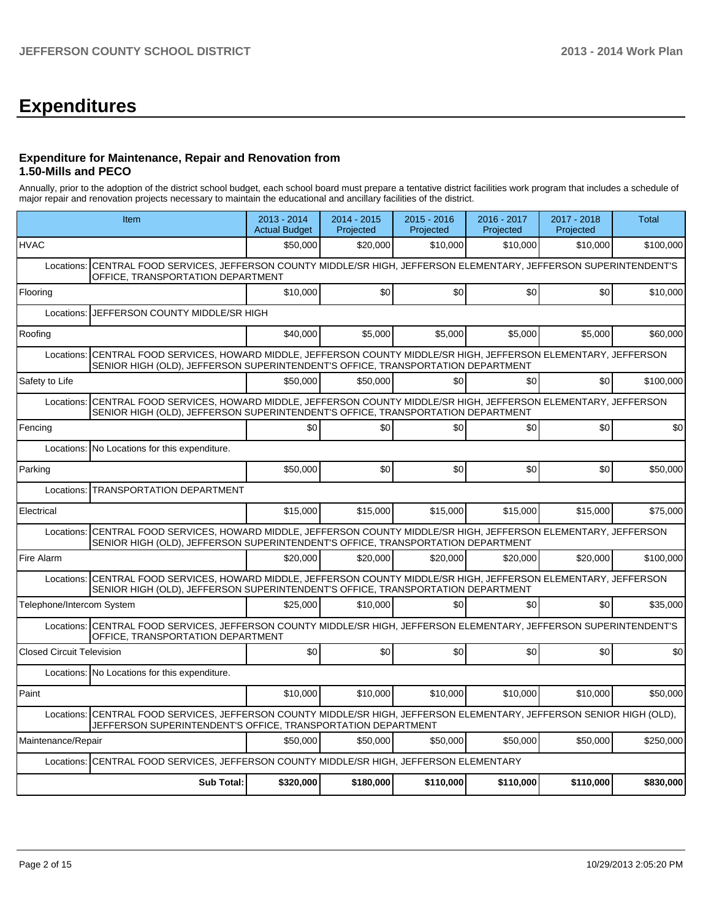# **Expenditures**

### **Expenditure for Maintenance, Repair and Renovation from 1.50-Mills and PECO**

Annually, prior to the adoption of the district school budget, each school board must prepare a tentative district facilities work program that includes a schedule of major repair and renovation projects necessary to maintain the educational and ancillary facilities of the district.

| Item                                                                                                                                                                                                    | 2013 - 2014<br><b>Actual Budget</b> | 2014 - 2015<br>Projected | $2015 - 2016$<br>Projected | 2016 - 2017<br>Projected | 2017 - 2018<br>Projected | Total     |  |  |  |  |  |
|---------------------------------------------------------------------------------------------------------------------------------------------------------------------------------------------------------|-------------------------------------|--------------------------|----------------------------|--------------------------|--------------------------|-----------|--|--|--|--|--|
| <b>HVAC</b>                                                                                                                                                                                             | \$50,000                            | \$20,000                 | \$10,000                   | \$10,000                 | \$10,000                 | \$100,000 |  |  |  |  |  |
| CENTRAL FOOD SERVICES, JEFFERSON COUNTY MIDDLE/SR HIGH, JEFFERSON ELEMENTARY, JEFFERSON SUPERINTENDENT'S<br>Locations:<br>OFFICE, TRANSPORTATION DEPARTMENT                                             |                                     |                          |                            |                          |                          |           |  |  |  |  |  |
| Flooring                                                                                                                                                                                                | \$10,000                            | \$0                      | \$0                        | \$0                      | \$0                      | \$10,000  |  |  |  |  |  |
| Locations:                                                                                                                                                                                              | JEFFERSON COUNTY MIDDLE/SR HIGH     |                          |                            |                          |                          |           |  |  |  |  |  |
| Roofing                                                                                                                                                                                                 | \$40.000                            | \$5,000                  | \$5,000                    | \$5,000                  | \$5,000                  | \$60,000  |  |  |  |  |  |
| CENTRAL FOOD SERVICES, HOWARD MIDDLE, JEFFERSON COUNTY MIDDLE/SR HIGH, JEFFERSON ELEMENTARY, JEFFERSON<br>Locations:<br>SENIOR HIGH (OLD), JEFFERSON SUPERINTENDENT'S OFFICE, TRANSPORTATION DEPARTMENT |                                     |                          |                            |                          |                          |           |  |  |  |  |  |
| Safety to Life                                                                                                                                                                                          | \$50,000                            | \$50,000                 | \$0                        | \$0                      | \$0                      | \$100,000 |  |  |  |  |  |
| CENTRAL FOOD SERVICES, HOWARD MIDDLE, JEFFERSON COUNTY MIDDLE/SR HIGH, JEFFERSON ELEMENTARY, JEFFERSON<br>Locations:<br>SENIOR HIGH (OLD), JEFFERSON SUPERINTENDENT'S OFFICE, TRANSPORTATION DEPARTMENT |                                     |                          |                            |                          |                          |           |  |  |  |  |  |
| Fencing                                                                                                                                                                                                 | \$0                                 | \$0                      | \$0                        | \$0                      | \$0                      | \$0       |  |  |  |  |  |
| Locations: No Locations for this expenditure.                                                                                                                                                           |                                     |                          |                            |                          |                          |           |  |  |  |  |  |
| Parking                                                                                                                                                                                                 | \$50,000                            | \$0                      | \$0                        | \$0                      | \$0                      | \$50,000  |  |  |  |  |  |
| <b>TRANSPORTATION DEPARTMENT</b><br>Locations:                                                                                                                                                          |                                     |                          |                            |                          |                          |           |  |  |  |  |  |
| Electrical                                                                                                                                                                                              | \$15,000                            | \$15,000                 | \$15,000                   | \$15,000                 | \$15,000                 | \$75,000  |  |  |  |  |  |
| CENTRAL FOOD SERVICES, HOWARD MIDDLE, JEFFERSON COUNTY MIDDLE/SR HIGH, JEFFERSON ELEMENTARY, JEFFERSON<br>Locations:<br>SENIOR HIGH (OLD), JEFFERSON SUPERINTENDENT'S OFFICE, TRANSPORTATION DEPARTMENT |                                     |                          |                            |                          |                          |           |  |  |  |  |  |
| Fire Alarm                                                                                                                                                                                              | \$20,000                            | \$20,000                 | \$20,000                   | \$20,000                 | \$20,000                 | \$100,000 |  |  |  |  |  |
| CENTRAL FOOD SERVICES, HOWARD MIDDLE, JEFFERSON COUNTY MIDDLE/SR HIGH, JEFFERSON ELEMENTARY, JEFFERSON<br>Locations:<br>SENIOR HIGH (OLD), JEFFERSON SUPERINTENDENT'S OFFICE, TRANSPORTATION DEPARTMENT |                                     |                          |                            |                          |                          |           |  |  |  |  |  |
| Telephone/Intercom System                                                                                                                                                                               | \$25,000                            | \$10,000                 | \$0                        | \$0                      | \$0                      | \$35,000  |  |  |  |  |  |
| Locations: CENTRAL FOOD SERVICES, JEFFERSON COUNTY MIDDLE/SR HIGH, JEFFERSON ELEMENTARY, JEFFERSON SUPERINTENDENT'S<br>OFFICE, TRANSPORTATION DEPARTMENT                                                |                                     |                          |                            |                          |                          |           |  |  |  |  |  |
| <b>Closed Circuit Television</b>                                                                                                                                                                        | \$0                                 | \$0                      | \$0                        | \$0                      | \$0                      | \$0       |  |  |  |  |  |
| Locations: No Locations for this expenditure.                                                                                                                                                           |                                     |                          |                            |                          |                          |           |  |  |  |  |  |
| Paint                                                                                                                                                                                                   | \$10,000                            | \$10,000                 | \$10.000                   | \$10,000                 | \$10,000                 | \$50,000  |  |  |  |  |  |
| CENTRAL FOOD SERVICES, JEFFERSON COUNTY MIDDLE/SR HIGH, JEFFERSON ELEMENTARY, JEFFERSON SENIOR HIGH (OLD),<br>Locations:<br>JEFFERSON SUPERINTENDENT'S OFFICE, TRANSPORTATION DEPARTMENT                |                                     |                          |                            |                          |                          |           |  |  |  |  |  |
| Maintenance/Repair                                                                                                                                                                                      | \$50,000                            | \$50,000                 | \$50,000                   | \$50,000                 | \$50,000                 | \$250,000 |  |  |  |  |  |
| CENTRAL FOOD SERVICES, JEFFERSON COUNTY MIDDLE/SR HIGH, JEFFERSON ELEMENTARY<br>Locations:                                                                                                              |                                     |                          |                            |                          |                          |           |  |  |  |  |  |
| Sub Total:                                                                                                                                                                                              | \$320,000                           | \$180,000                | \$110,000                  | \$110,000                | \$110,000                | \$830,000 |  |  |  |  |  |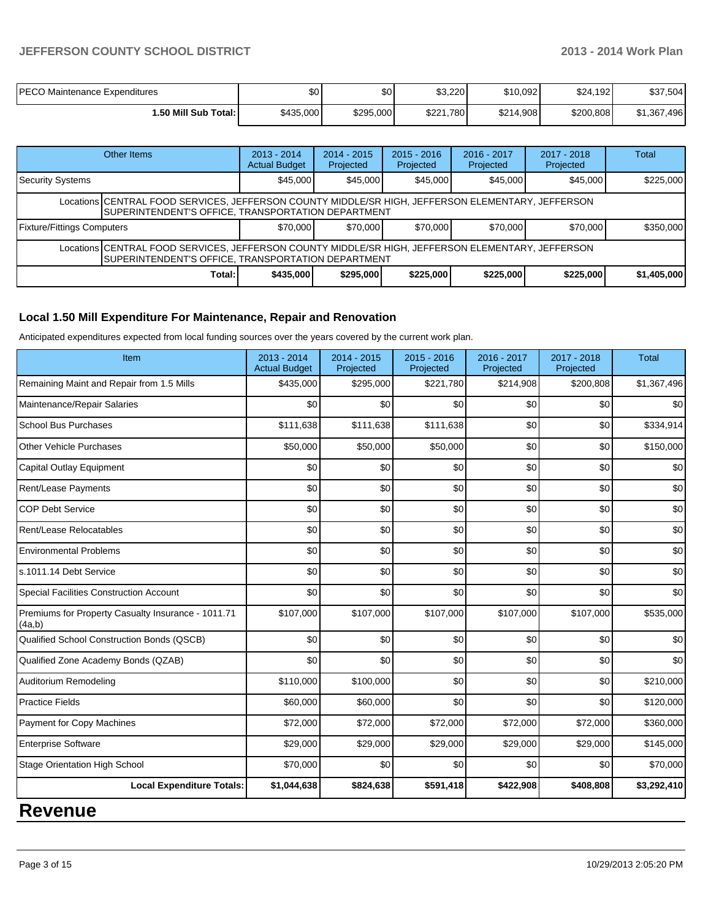| <b>PECO Maintenance Expenditures</b> | \$0       | \$0       | \$3,220   | \$10.092  | \$24,192  | \$37,504    |
|--------------------------------------|-----------|-----------|-----------|-----------|-----------|-------------|
| I.50 Mill Sub Total: I               | \$435,000 | \$295,000 | \$221,780 | \$214,908 | \$200,808 | \$1,367,496 |

|                                                                                                                                                                 | Other Items | $2013 - 2014$<br><b>Actual Budget</b> | $2014 - 2015$<br>Projected | $2015 - 2016$<br>Projected | 2016 - 2017<br>Projected | $2017 - 2018$<br>Projected | <b>Total</b> |  |  |
|-----------------------------------------------------------------------------------------------------------------------------------------------------------------|-------------|---------------------------------------|----------------------------|----------------------------|--------------------------|----------------------------|--------------|--|--|
| Security Systems                                                                                                                                                |             | \$45,000                              | \$45,000                   | \$45,000                   | \$45,000                 | \$45,000                   | \$225,000    |  |  |
| Locations CENTRAL FOOD SERVICES, JEFFERSON COUNTY MIDDLE/SR HIGH, JEFFERSON ELEMENTARY, JEFFERSON<br><b>ISUPERINTENDENT'S OFFICE, TRANSPORTATION DEPARTMENT</b> |             |                                       |                            |                            |                          |                            |              |  |  |
| Fixture/Fittings Computers                                                                                                                                      |             | \$70,000                              | \$70,000                   | \$70,000                   | \$70,000                 | \$70,000                   | \$350,000    |  |  |
| Locations CENTRAL FOOD SERVICES, JEFFERSON COUNTY MIDDLE/SR HIGH, JEFFERSON ELEMENTARY, JEFFERSON<br>SUPERINTENDENT'S OFFICE, TRANSPORTATION DEPARTMENT         |             |                                       |                            |                            |                          |                            |              |  |  |
|                                                                                                                                                                 | Total:      | \$435,000                             | \$295,000                  | \$225,000                  | \$225,000                | \$225,000                  | \$1,405,000  |  |  |

### **Local 1.50 Mill Expenditure For Maintenance, Repair and Renovation**

Anticipated expenditures expected from local funding sources over the years covered by the current work plan.

| Item                                                         | 2013 - 2014<br><b>Actual Budget</b> | $2014 - 2015$<br>Projected | $2015 - 2016$<br>Projected | 2016 - 2017<br>Projected | 2017 - 2018<br>Projected | <b>Total</b> |
|--------------------------------------------------------------|-------------------------------------|----------------------------|----------------------------|--------------------------|--------------------------|--------------|
| Remaining Maint and Repair from 1.5 Mills                    | \$435,000                           | \$295,000                  | \$221,780                  | \$214,908                | \$200,808                | \$1,367,496  |
| Maintenance/Repair Salaries                                  | \$0                                 | \$0                        | \$0                        | \$0                      | \$0                      | \$0          |
| <b>School Bus Purchases</b>                                  | \$111,638                           | \$111,638                  | \$111,638                  | \$0                      | \$0                      | \$334,914    |
| <b>Other Vehicle Purchases</b>                               | \$50,000                            | \$50,000                   | \$50,000                   | \$0                      | \$0                      | \$150,000    |
| Capital Outlay Equipment                                     | \$0                                 | \$0                        | \$0                        | \$0                      | \$0                      | \$0          |
| Rent/Lease Payments                                          | \$0                                 | \$0                        | \$0                        | \$0                      | \$0                      | \$0          |
| <b>COP Debt Service</b>                                      | \$0                                 | \$0                        | \$0                        | \$0                      | \$0                      | \$0          |
| Rent/Lease Relocatables                                      | \$0                                 | \$0                        | \$0                        | \$0                      | \$0                      | \$0          |
| <b>Environmental Problems</b>                                | \$0                                 | \$0                        | \$0                        | \$0                      | \$0                      | \$0          |
| s.1011.14 Debt Service                                       | \$0                                 | \$0                        | \$0                        | \$0                      | \$0                      | \$0          |
| <b>Special Facilities Construction Account</b>               | \$0                                 | \$0                        | \$0                        | \$0                      | \$0                      | \$0          |
| Premiums for Property Casualty Insurance - 1011.71<br>(4a,b) | \$107,000                           | \$107,000                  | \$107,000                  | \$107,000                | \$107,000                | \$535,000    |
| Qualified School Construction Bonds (QSCB)                   | \$0                                 | \$0                        | \$0                        | \$0                      | \$0                      | \$0          |
| Qualified Zone Academy Bonds (QZAB)                          | \$0                                 | \$0                        | \$0                        | \$0                      | \$0                      | \$0          |
| Auditorium Remodeling                                        | \$110,000                           | \$100,000                  | \$0                        | \$0                      | \$0                      | \$210,000    |
| <b>Practice Fields</b>                                       | \$60,000                            | \$60,000                   | \$0                        | \$0                      | \$0                      | \$120,000    |
| Payment for Copy Machines                                    | \$72,000                            | \$72,000                   | \$72,000                   | \$72,000                 | \$72,000                 | \$360,000    |
| <b>Enterprise Software</b>                                   | \$29,000                            | \$29,000                   | \$29,000                   | \$29,000                 | \$29,000                 | \$145,000    |
| <b>Stage Orientation High School</b>                         | \$70,000                            | \$0                        | \$0                        | \$0                      | \$0                      | \$70,000     |
| <b>Local Expenditure Totals:</b>                             | \$1,044,638                         | \$824,638                  | \$591,418                  | \$422,908                | \$408,808                | \$3,292,410  |

### **Revenue**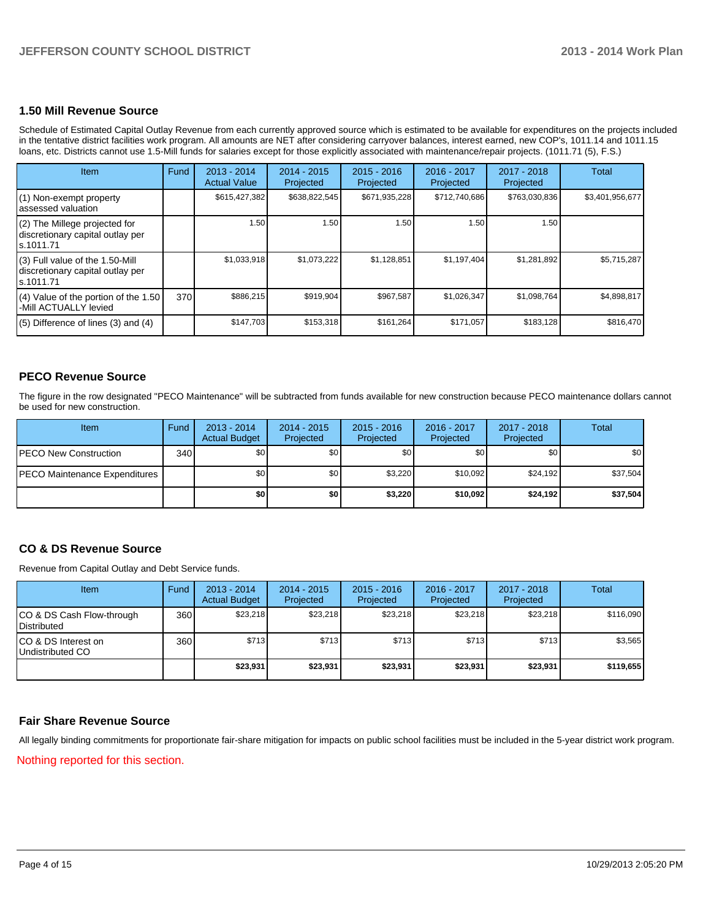### **1.50 Mill Revenue Source**

Schedule of Estimated Capital Outlay Revenue from each currently approved source which is estimated to be available for expenditures on the projects included in the tentative district facilities work program. All amounts are NET after considering carryover balances, interest earned, new COP's, 1011.14 and 1011.15 loans, etc. Districts cannot use 1.5-Mill funds for salaries except for those explicitly associated with maintenance/repair projects. (1011.71 (5), F.S.)

| Item                                                                                | Fund | 2013 - 2014<br><b>Actual Value</b> | $2014 - 2015$<br>Projected | $2015 - 2016$<br>Projected | $2016 - 2017$<br>Projected | $2017 - 2018$<br>Projected | Total           |
|-------------------------------------------------------------------------------------|------|------------------------------------|----------------------------|----------------------------|----------------------------|----------------------------|-----------------|
| $(1)$ Non-exempt property<br>lassessed valuation                                    |      | \$615,427,382                      | \$638,822,545              | \$671,935,228              | \$712,740,686              | \$763,030,836              | \$3,401,956,677 |
| $(2)$ The Millege projected for<br>discretionary capital outlay per<br>ls.1011.71   |      | 1.50                               | 1.50                       | 1.50                       | 1.50                       | 1.50                       |                 |
| $(3)$ Full value of the 1.50-Mill<br>discretionary capital outlay per<br>ls.1011.71 |      | \$1,033,918                        | \$1,073,222                | \$1,128,851                | \$1,197,404                | \$1,281,892                | \$5,715,287     |
| (4) Value of the portion of the 1.50<br>-Mill ACTUALLY levied                       | 370  | \$886,215                          | \$919,904                  | \$967.587                  | \$1,026,347                | \$1,098,764                | \$4,898,817     |
| $(5)$ Difference of lines $(3)$ and $(4)$                                           |      | \$147,703                          | \$153,318                  | \$161,264                  | \$171.057                  | \$183,128                  | \$816,470       |

### **PECO Revenue Source**

The figure in the row designated "PECO Maintenance" will be subtracted from funds available for new construction because PECO maintenance dollars cannot be used for new construction.

| Item                                  | Fund | $2013 - 2014$<br><b>Actual Budget</b> | $2014 - 2015$<br>Projected | $2015 - 2016$<br>Projected | 2016 - 2017<br>Projected | 2017 - 2018<br>Projected | Total    |
|---------------------------------------|------|---------------------------------------|----------------------------|----------------------------|--------------------------|--------------------------|----------|
| <b>IPECO New Construction</b>         | 340  | \$0                                   | \$0                        | \$0                        | \$0                      | \$0                      | \$0      |
| <b>IPECO Maintenance Expenditures</b> |      | \$0                                   | \$0 <sub>1</sub>           | \$3,220                    | \$10,092                 | \$24.192                 | \$37,504 |
|                                       |      | \$0 I                                 | \$0                        | \$3,220                    | \$10,092                 | \$24,192                 | \$37,504 |

### **CO & DS Revenue Source**

Revenue from Capital Outlay and Debt Service funds.

| Item                                               | Fund | $2013 - 2014$<br><b>Actual Budget</b> | $2014 - 2015$<br>Projected | $2015 - 2016$<br>Projected | 2016 - 2017<br>Projected | $2017 - 2018$<br>Projected | Total     |
|----------------------------------------------------|------|---------------------------------------|----------------------------|----------------------------|--------------------------|----------------------------|-----------|
| ICO & DS Cash Flow-through<br><b>I</b> Distributed | 360  | \$23,218                              | \$23,218                   | \$23,218                   | \$23,218                 | \$23,218                   | \$116,090 |
| ICO & DS Interest on<br>Undistributed CO           | 360  | \$713                                 | \$713                      | \$713                      | \$713                    | \$713                      | \$3,565   |
|                                                    |      | \$23,931                              | \$23,931                   | \$23,931                   | \$23,931                 | \$23,931                   | \$119,655 |

### **Fair Share Revenue Source**

All legally binding commitments for proportionate fair-share mitigation for impacts on public school facilities must be included in the 5-year district work program.

Nothing reported for this section.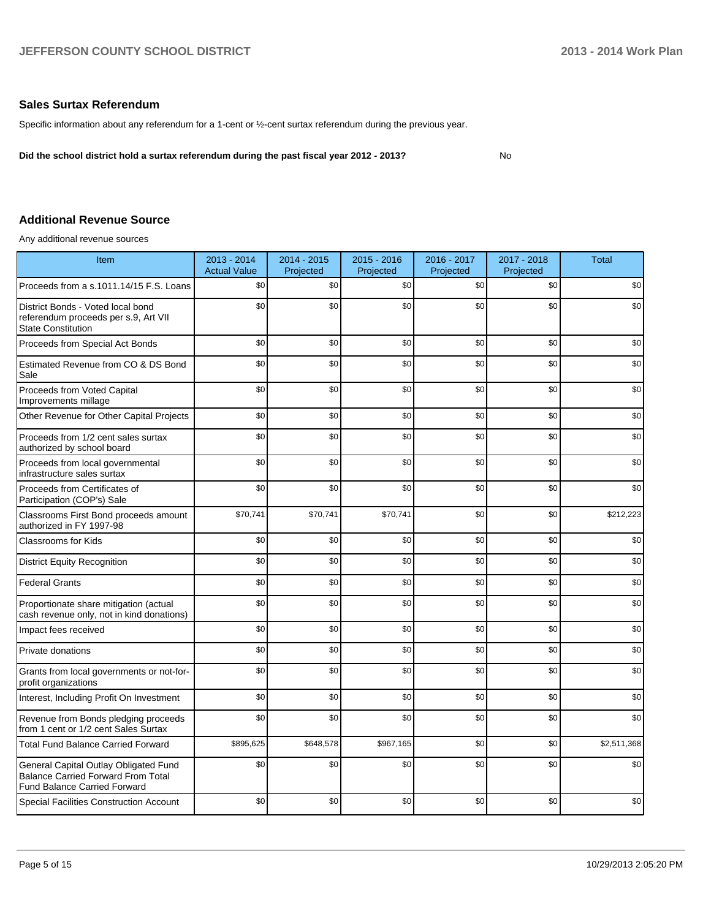### **Sales Surtax Referendum**

Specific information about any referendum for a 1-cent or ½-cent surtax referendum during the previous year.

**Did the school district hold a surtax referendum during the past fiscal year 2012 - 2013?**

No

### **Additional Revenue Source**

Any additional revenue sources

| Item                                                                                                                      | 2013 - 2014<br><b>Actual Value</b> | 2014 - 2015<br>Projected | $2015 - 2016$<br>Projected | 2016 - 2017<br>Projected | 2017 - 2018<br>Projected | <b>Total</b> |
|---------------------------------------------------------------------------------------------------------------------------|------------------------------------|--------------------------|----------------------------|--------------------------|--------------------------|--------------|
| Proceeds from a s.1011.14/15 F.S. Loans                                                                                   | \$0                                | \$0                      | \$0                        | \$0                      | \$0                      | \$0          |
| District Bonds - Voted local bond<br>referendum proceeds per s.9, Art VII<br><b>State Constitution</b>                    | \$0                                | \$0                      | \$0                        | \$0                      | \$0                      | \$0          |
| Proceeds from Special Act Bonds                                                                                           | \$0                                | \$0                      | \$0                        | \$0                      | \$0                      | \$0          |
| Estimated Revenue from CO & DS Bond<br>Sale                                                                               | \$0                                | \$0                      | \$0                        | \$0                      | \$0                      | \$0          |
| Proceeds from Voted Capital<br>Improvements millage                                                                       | \$0                                | \$0                      | \$0                        | \$0                      | \$0                      | \$0          |
| Other Revenue for Other Capital Projects                                                                                  | \$0                                | \$0                      | \$0                        | \$0                      | \$0                      | \$0          |
| Proceeds from 1/2 cent sales surtax<br>authorized by school board                                                         | \$0                                | \$0                      | \$0                        | \$0                      | \$0                      | \$0          |
| Proceeds from local governmental<br>infrastructure sales surtax                                                           | \$0                                | \$0                      | \$0                        | \$0                      | \$0                      | \$0          |
| Proceeds from Certificates of<br>Participation (COP's) Sale                                                               | \$0                                | \$0                      | \$0                        | \$0                      | \$0                      | \$0          |
| Classrooms First Bond proceeds amount<br>authorized in FY 1997-98                                                         | \$70,741                           | \$70,741                 | \$70,741                   | \$0                      | \$0                      | \$212,223    |
| Classrooms for Kids                                                                                                       | \$0                                | \$0                      | \$0                        | \$0                      | \$0                      | \$0          |
| <b>District Equity Recognition</b>                                                                                        | \$0                                | \$0                      | \$0                        | \$0                      | \$0                      | \$0          |
| <b>Federal Grants</b>                                                                                                     | \$0                                | \$0                      | \$0                        | \$0                      | \$0                      | \$0          |
| Proportionate share mitigation (actual<br>cash revenue only, not in kind donations)                                       | \$0                                | \$0                      | \$0                        | \$0                      | \$0                      | \$0          |
| Impact fees received                                                                                                      | \$0                                | \$0                      | \$0                        | \$0                      | \$0                      | \$0          |
| Private donations                                                                                                         | \$0                                | \$0                      | \$0                        | \$0                      | \$0                      | \$0          |
| Grants from local governments or not-for-<br>profit organizations                                                         | \$0                                | \$0                      | \$0                        | \$0                      | \$0                      | \$0          |
| Interest, Including Profit On Investment                                                                                  | \$0                                | \$0                      | \$0                        | \$0                      | \$0                      | \$0          |
| Revenue from Bonds pledging proceeds<br>from 1 cent or 1/2 cent Sales Surtax                                              | \$0                                | \$0                      | \$0                        | \$0                      | \$0                      | \$0          |
| <b>Total Fund Balance Carried Forward</b>                                                                                 | \$895,625                          | \$648,578                | \$967,165                  | \$0                      | \$0                      | \$2,511,368  |
| General Capital Outlay Obligated Fund<br><b>Balance Carried Forward From Total</b><br><b>Fund Balance Carried Forward</b> | \$0                                | \$0                      | \$0                        | \$0                      | \$0                      | \$0          |
| <b>Special Facilities Construction Account</b>                                                                            | \$0                                | \$0                      | \$0                        | \$0                      | \$0                      | \$0          |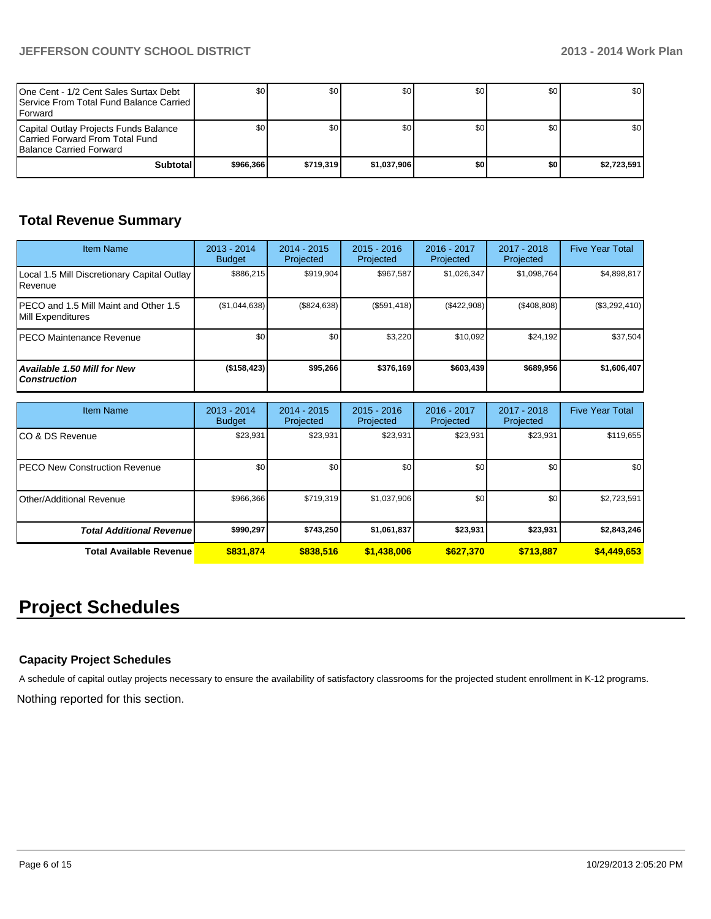| One Cent - 1/2 Cent Sales Surtax Debt<br><b>I</b> Service From Total Fund Balance Carried I<br><b>IForward</b> | \$0       | SO I      | \$0         | SO I | \$0 | <b>SO</b> I      |
|----------------------------------------------------------------------------------------------------------------|-----------|-----------|-------------|------|-----|------------------|
| Capital Outlay Projects Funds Balance<br>Carried Forward From Total Fund<br><b>Balance Carried Forward</b>     |           | \$٥١      | \$0         | SO I | \$0 | \$0 <sub>1</sub> |
| Subtotal                                                                                                       | \$966.366 | \$719.319 | \$1.037.906 | ا 30 | \$0 | \$2,723,591      |

### **Total Revenue Summary**

| <b>Item Name</b>                                            | $2013 - 2014$<br><b>Budget</b> | $2014 - 2015$<br>Projected | $2015 - 2016$<br>Projected | $2016 - 2017$<br>Projected | $2017 - 2018$<br>Projected | <b>Five Year Total</b> |
|-------------------------------------------------------------|--------------------------------|----------------------------|----------------------------|----------------------------|----------------------------|------------------------|
| Local 1.5 Mill Discretionary Capital Outlay<br>l Revenue    | \$886.215                      | \$919.904                  | \$967.587                  | \$1.026.347                | \$1,098,764                | \$4,898,817            |
| IPECO and 1.5 Mill Maint and Other 1.5<br>Mill Expenditures | (\$1,044,638)                  | (\$824,638)                | (S591.418)                 | (\$422,908)                | (\$408,808)                | (\$3,292,410)          |
| IPECO Maintenance Revenue                                   | \$0                            | \$0 <sub>l</sub>           | \$3,220                    | \$10.092                   | \$24.192                   | \$37,504               |
| <b>Available 1.50 Mill for New</b><br><b>Construction</b>   | $($ \$158,423)                 | \$95,266                   | \$376.169                  | \$603,439                  | \$689,956                  | \$1,606,407            |

| <b>Item Name</b>                      | 2013 - 2014<br><b>Budget</b> | $2014 - 2015$<br>Projected | $2015 - 2016$<br>Projected | 2016 - 2017<br>Projected | 2017 - 2018<br>Projected | <b>Five Year Total</b> |
|---------------------------------------|------------------------------|----------------------------|----------------------------|--------------------------|--------------------------|------------------------|
| ICO & DS Revenue                      | \$23,931                     | \$23,931                   | \$23,931                   | \$23,931                 | \$23,931                 | \$119,655              |
| <b>IPECO New Construction Revenue</b> | \$0                          | \$0 <sub>1</sub>           | \$0                        | \$0 <sub>1</sub>         | \$0                      | \$0                    |
| Other/Additional Revenue              | \$966,366                    | \$719,319                  | \$1,037,906                | \$0 <sub>1</sub>         | \$0                      | \$2,723,591            |
| <b>Total Additional Revenuel</b>      | \$990,297                    | \$743,250                  | \$1,061,837                | \$23,931                 | \$23,931                 | \$2,843,246            |
| <b>Total Available Revenue</b>        | \$831,874                    | \$838.516                  | \$1,438,006                | \$627,370                | \$713,887                | \$4,449,653            |

# **Project Schedules**

### **Capacity Project Schedules**

A schedule of capital outlay projects necessary to ensure the availability of satisfactory classrooms for the projected student enrollment in K-12 programs.

Nothing reported for this section.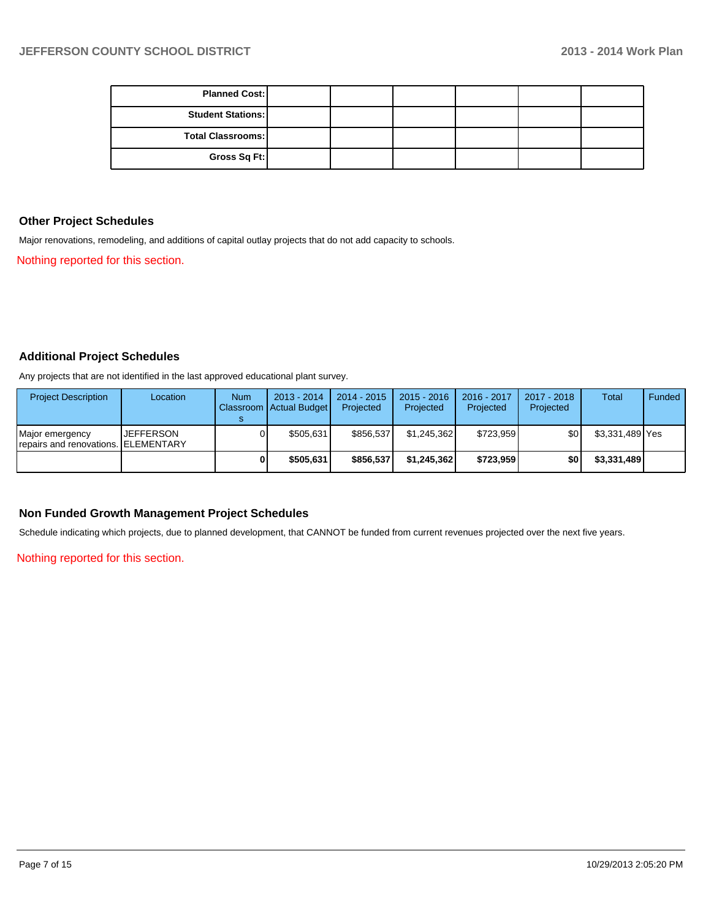| <b>Planned Cost:</b>     |  |  |  |
|--------------------------|--|--|--|
| <b>Student Stations:</b> |  |  |  |
| <b>Total Classrooms:</b> |  |  |  |
| Gross Sq Ft:             |  |  |  |

### **Other Project Schedules**

Major renovations, remodeling, and additions of capital outlay projects that do not add capacity to schools.

Nothing reported for this section.

### **Additional Project Schedules**

Any projects that are not identified in the last approved educational plant survey.

| <b>Project Description</b>                             | Location         | <b>Num</b> | $2013 - 2014$<br>Classroom   Actual Budget | $2014 - 2015$<br>Projected | $2015 - 2016$<br>Projected | 2016 - 2017<br>Projected | 2017 - 2018<br>Projected | Total           | Funded |
|--------------------------------------------------------|------------------|------------|--------------------------------------------|----------------------------|----------------------------|--------------------------|--------------------------|-----------------|--------|
| Major emergency<br>repairs and renovations. ELEMENTARY | <b>JEFFERSON</b> |            | \$505.631                                  | \$856.537                  | \$1,245,362                | \$723.959                | \$0                      | \$3,331,489 Yes |        |
|                                                        |                  |            | \$505.631                                  | \$856.537                  | \$1.245.362                | \$723,959                | \$0                      | \$3,331,489     |        |

### **Non Funded Growth Management Project Schedules**

Schedule indicating which projects, due to planned development, that CANNOT be funded from current revenues projected over the next five years.

Nothing reported for this section.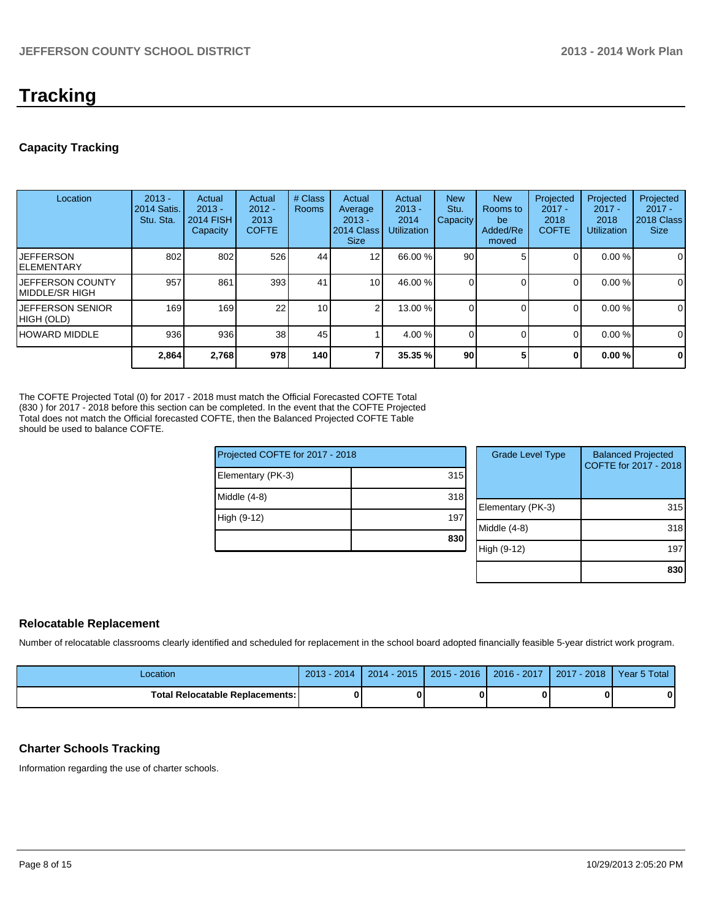# **Tracking**

### **Capacity Tracking**

| Location                              | $2013 -$<br>2014 Satis.<br>Stu. Sta. | Actual<br>$2013 -$<br><b>2014 FISH</b><br>Capacity | Actual<br>$2012 -$<br>2013<br><b>COFTE</b> | # Class<br><b>Rooms</b> | Actual<br>Average<br>$2013 -$<br>2014 Class<br><b>Size</b> | Actual<br>$2013 -$<br>2014<br><b>Utilization</b> | <b>New</b><br>Stu.<br>Capacity | <b>New</b><br>Rooms to<br>be<br>Added/Re<br>moved | Projected<br>$2017 -$<br>2018<br><b>COFTE</b> | Projected<br>$2017 -$<br>2018<br><b>Utilization</b> | Projected<br>$2017 -$<br>2018 Class<br><b>Size</b> |
|---------------------------------------|--------------------------------------|----------------------------------------------------|--------------------------------------------|-------------------------|------------------------------------------------------------|--------------------------------------------------|--------------------------------|---------------------------------------------------|-----------------------------------------------|-----------------------------------------------------|----------------------------------------------------|
| <b>JEFFERSON</b><br>IELEMENTARY       | 802                                  | 802                                                | 526                                        | 44                      | 12 <sub>1</sub>                                            | 66.00 %                                          | 90 <sub>1</sub>                |                                                   | 0                                             | $0.00\%$                                            | $\mathbf 0$                                        |
| JEFFERSON COUNTY<br>IMIDDLE/SR HIGH   | 957                                  | 861                                                | 393                                        | 41                      | 10 <sup>1</sup>                                            | 46.00 %                                          | 01                             |                                                   | $\Omega$                                      | $0.00\%$                                            | 0                                                  |
| <b>JEFFERSON SENIOR</b><br>HIGH (OLD) | 169                                  | 169 <sup>1</sup>                                   | 22 <sub>1</sub>                            | 10 <sup>1</sup>         |                                                            | 13.00 %                                          |                                |                                                   | $\Omega$                                      | 0.00 %                                              | $\mathbf 0$                                        |
| <b>HOWARD MIDDLE</b>                  | 936                                  | 936                                                | 38 <sub>1</sub>                            | 45                      |                                                            | $4.00\%$                                         | 01                             |                                                   | $\Omega$                                      | $0.00\%$                                            | $\mathbf 0$                                        |
|                                       | 2,864                                | 2,768                                              | 978                                        | <b>140</b>              |                                                            | 35.35 %                                          | 90 <sub>1</sub>                |                                                   | 0                                             | 0.00%                                               | $\mathbf 0$                                        |

The COFTE Projected Total (0) for 2017 - 2018 must match the Official Forecasted COFTE Total (830 ) for 2017 - 2018 before this section can be completed. In the event that the COFTE Projected Total does not match the Official forecasted COFTE, then the Balanced Projected COFTE Table should be used to balance COFTE.

| Projected COFTE for 2017 - 2018 |     |  |  |  |  |
|---------------------------------|-----|--|--|--|--|
| Elementary (PK-3)               | 315 |  |  |  |  |
| Middle $(4-8)$                  | 318 |  |  |  |  |
| High (9-12)                     | 197 |  |  |  |  |
|                                 | 830 |  |  |  |  |
|                                 |     |  |  |  |  |

| <b>Grade Level Type</b> | <b>Balanced Projected</b><br>COFTE for 2017 - 2018 |
|-------------------------|----------------------------------------------------|
| Elementary (PK-3)       | 315                                                |
| Middle (4-8)            | 318                                                |
| High (9-12)             | 197                                                |
|                         | 830                                                |

### **Relocatable Replacement**

Number of relocatable classrooms clearly identified and scheduled for replacement in the school board adopted financially feasible 5-year district work program.

| -ocation                               | $\sqrt{2014}$<br>$2013 -$ | $2014 - 2015$ | 2015 - 2016   2016 - 2017 | Year 5 Total |
|----------------------------------------|---------------------------|---------------|---------------------------|--------------|
| <b>Total Relocatable Replacements:</b> |                           |               |                           | 0            |

### **Charter Schools Tracking**

Information regarding the use of charter schools.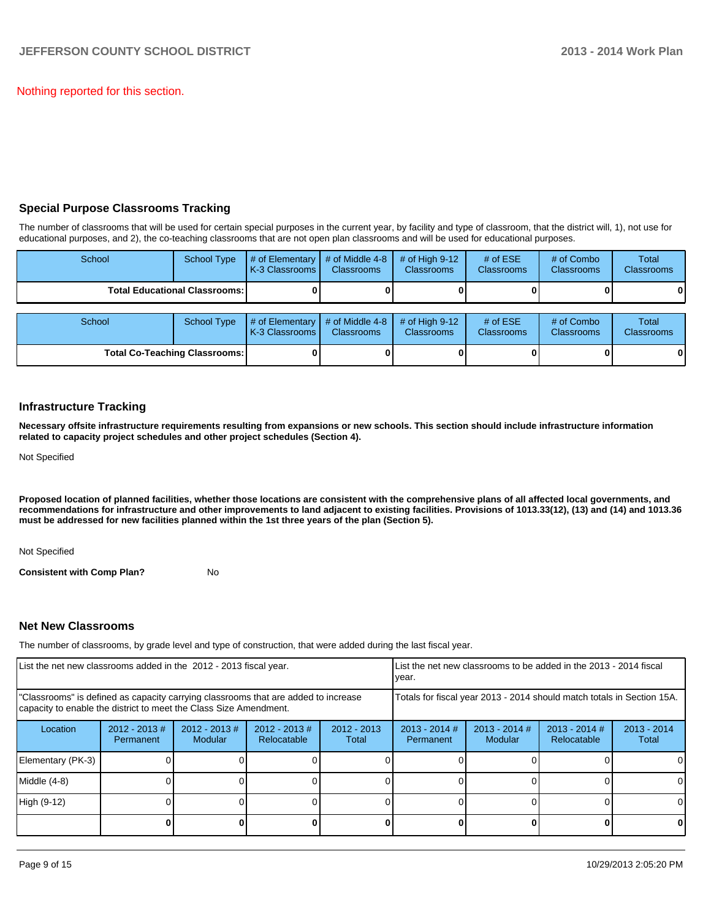Nothing reported for this section.

### **Special Purpose Classrooms Tracking**

The number of classrooms that will be used for certain special purposes in the current year, by facility and type of classroom, that the district will, 1), not use for educational purposes, and 2), the co-teaching classrooms that are not open plan classrooms and will be used for educational purposes.

| School                                 | <b>School Type</b>                   | # of Elementary<br>K-3 Classrooms I | # of Middle 4-8<br><b>Classrooms</b> | # of High $9-12$<br><b>Classrooms</b> | # of $ESE$<br><b>Classrooms</b> | # of Combo<br><b>Classrooms</b> | Total<br><b>Classrooms</b> |
|----------------------------------------|--------------------------------------|-------------------------------------|--------------------------------------|---------------------------------------|---------------------------------|---------------------------------|----------------------------|
| <b>Total Educational Classrooms: I</b> |                                      |                                     |                                      |                                       |                                 |                                 | 01                         |
|                                        |                                      |                                     |                                      |                                       |                                 |                                 |                            |
| School                                 | <b>School Type</b>                   | $#$ of Elementary<br>K-3 Classrooms | # of Middle 4-8<br><b>Classrooms</b> | # of High $9-12$<br><b>Classrooms</b> | # of $ESE$<br>Classrooms        | # of Combo<br><b>Classrooms</b> | Total<br><b>Classrooms</b> |
|                                        | <b>Total Co-Teaching Classrooms:</b> |                                     |                                      |                                       |                                 |                                 | 01                         |

### **Infrastructure Tracking**

**Necessary offsite infrastructure requirements resulting from expansions or new schools. This section should include infrastructure information related to capacity project schedules and other project schedules (Section 4).**

Not Specified

**Proposed location of planned facilities, whether those locations are consistent with the comprehensive plans of all affected local governments, and recommendations for infrastructure and other improvements to land adjacent to existing facilities. Provisions of 1013.33(12), (13) and (14) and 1013.36 must be addressed for new facilities planned within the 1st three years of the plan (Section 5).**

Not Specified

**Consistent with Comp Plan?** No

### **Net New Classrooms**

The number of classrooms, by grade level and type of construction, that were added during the last fiscal year.

| List the net new classrooms added in the 2012 - 2013 fiscal year.                                                                                       |                               |                                   |                                |                        | List the net new classrooms to be added in the 2013 - 2014 fiscal<br>Ivear. |                            |                                |                        |
|---------------------------------------------------------------------------------------------------------------------------------------------------------|-------------------------------|-----------------------------------|--------------------------------|------------------------|-----------------------------------------------------------------------------|----------------------------|--------------------------------|------------------------|
| "Classrooms" is defined as capacity carrying classrooms that are added to increase<br>capacity to enable the district to meet the Class Size Amendment. |                               |                                   |                                |                        | Totals for fiscal year 2013 - 2014 should match totals in Section 15A.      |                            |                                |                        |
| Location                                                                                                                                                | $2012 - 2013 \#$<br>Permanent | $2012 - 2013$ #<br><b>Modular</b> | $2012 - 2013$ #<br>Relocatable | $2012 - 2013$<br>Total | $2013 - 2014$ #<br>Permanent                                                | $2013 - 2014$ #<br>Modular | $2013 - 2014$ #<br>Relocatable | $2013 - 2014$<br>Total |
| Elementary (PK-3)                                                                                                                                       |                               |                                   |                                |                        |                                                                             |                            |                                | $\Omega$               |
| Middle (4-8)                                                                                                                                            |                               |                                   |                                |                        |                                                                             |                            |                                | 0                      |
| High (9-12)                                                                                                                                             |                               |                                   |                                |                        |                                                                             |                            |                                | $\Omega$               |
|                                                                                                                                                         |                               |                                   |                                |                        |                                                                             |                            |                                | $\mathbf{0}$           |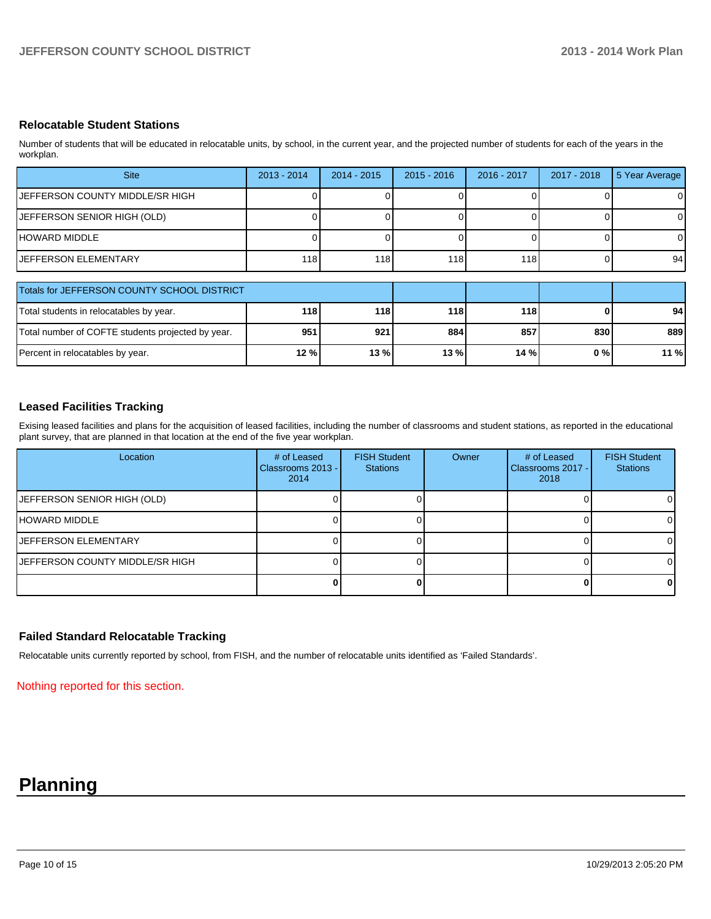### **Relocatable Student Stations**

Number of students that will be educated in relocatable units, by school, in the current year, and the projected number of students for each of the years in the workplan.

| <b>Site</b>                                 | $2013 - 2014$ | $2014 - 2015$ | $2015 - 2016$ | 2016 - 2017 | $2017 - 2018$ | 5 Year Average |
|---------------------------------------------|---------------|---------------|---------------|-------------|---------------|----------------|
| JEFFERSON COUNTY MIDDLE/SR HIGH             |               |               |               |             |               | 0              |
| JEFFERSON SENIOR HIGH (OLD)                 |               |               |               |             |               | 0              |
| IHOWARD MIDDLE                              |               |               |               |             |               | $\Omega$       |
| IJEFFERSON ELEMENTARY                       | 118           | 118           | 118           | 118         |               | 94             |
| Totals for JEFFERSON COUNTY SCHOOL DISTRICT |               |               |               |             |               |                |
| Total students in relecatables by year.     | 11 Q I        | 11 Q I        | <b>110</b>    | <b>4491</b> | n.            | 01             |

| Total students in relocatables by year.           | 118    | <b>1181</b> | 118 I   | 118 |      | 94 <sub>l</sub> |
|---------------------------------------------------|--------|-------------|---------|-----|------|-----------------|
| Total number of COFTE students projected by year. | 951    | 921         | 884     | 857 | 830l | 889 l           |
| Percent in relocatables by year.                  | 12 % l | 13%         | $13 \%$ | 14% | 0%   | 11 %            |

### **Leased Facilities Tracking**

Exising leased facilities and plans for the acquisition of leased facilities, including the number of classrooms and student stations, as reported in the educational plant survey, that are planned in that location at the end of the five year workplan.

| Location                               | # of Leased<br>Classrooms 2013 -<br>2014 | <b>FISH Student</b><br><b>Stations</b> | Owner | # of Leased<br>Classrooms 2017 -<br>2018 | <b>FISH Student</b><br><b>Stations</b> |
|----------------------------------------|------------------------------------------|----------------------------------------|-------|------------------------------------------|----------------------------------------|
| JEFFERSON SENIOR HIGH (OLD)            |                                          |                                        |       |                                          | 01                                     |
| HOWARD MIDDLE                          |                                          |                                        |       |                                          | ΟI                                     |
| <b>IJEFFERSON ELEMENTARY</b>           |                                          |                                        |       |                                          | ΟI                                     |
| <b>JEFFERSON COUNTY MIDDLE/SR HIGH</b> |                                          |                                        |       |                                          | $\Omega$                               |
|                                        |                                          |                                        |       |                                          | 01                                     |

### **Failed Standard Relocatable Tracking**

Relocatable units currently reported by school, from FISH, and the number of relocatable units identified as 'Failed Standards'.

Nothing reported for this section.

# **Planning**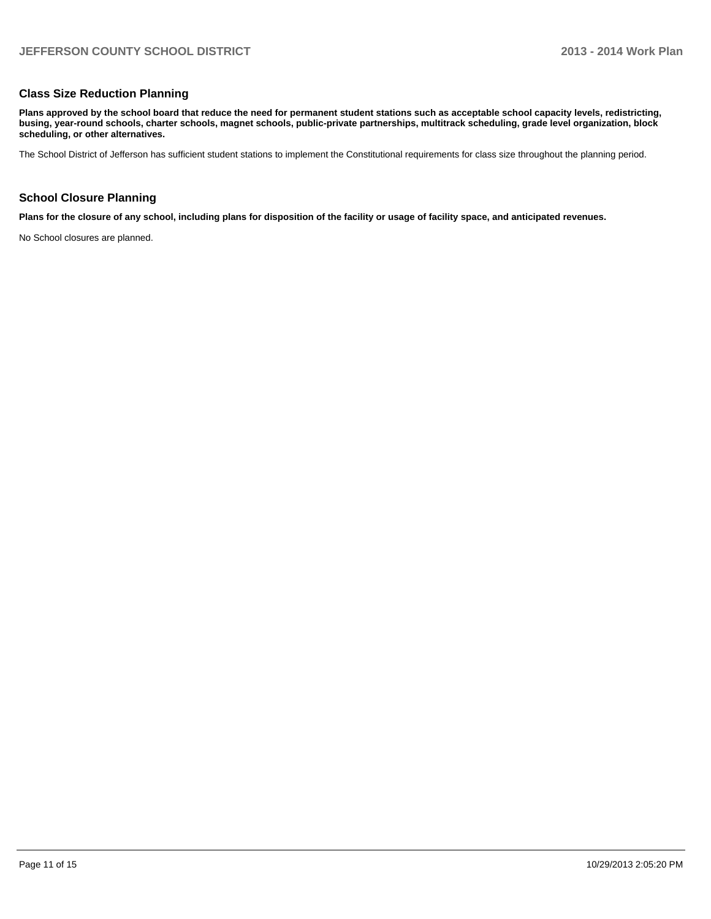### **Class Size Reduction Planning**

**Plans approved by the school board that reduce the need for permanent student stations such as acceptable school capacity levels, redistricting, busing, year-round schools, charter schools, magnet schools, public-private partnerships, multitrack scheduling, grade level organization, block scheduling, or other alternatives.**

The School District of Jefferson has sufficient student stations to implement the Constitutional requirements for class size throughout the planning period.

### **School Closure Planning**

**Plans for the closure of any school, including plans for disposition of the facility or usage of facility space, and anticipated revenues.**

No School closures are planned.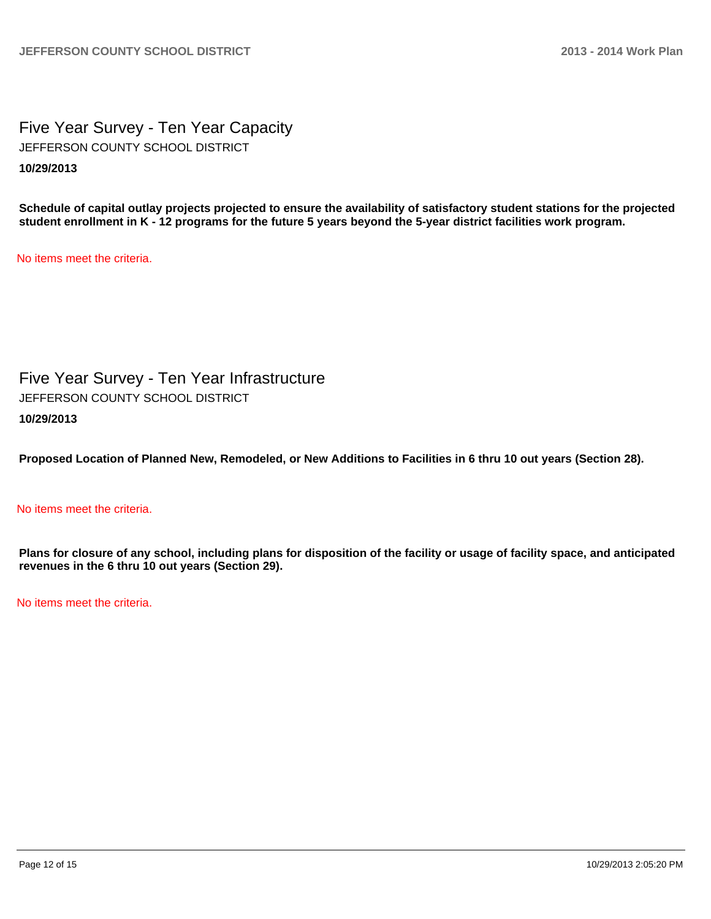Five Year Survey - Ten Year Capacity **10/29/2013** JEFFERSON COUNTY SCHOOL DISTRICT

**Schedule of capital outlay projects projected to ensure the availability of satisfactory student stations for the projected student enrollment in K - 12 programs for the future 5 years beyond the 5-year district facilities work program.**

No items meet the criteria.

Five Year Survey - Ten Year Infrastructure **10/29/2013** JEFFERSON COUNTY SCHOOL DISTRICT

**Proposed Location of Planned New, Remodeled, or New Additions to Facilities in 6 thru 10 out years (Section 28).**

### No items meet the criteria.

**Plans for closure of any school, including plans for disposition of the facility or usage of facility space, and anticipated revenues in the 6 thru 10 out years (Section 29).**

No items meet the criteria.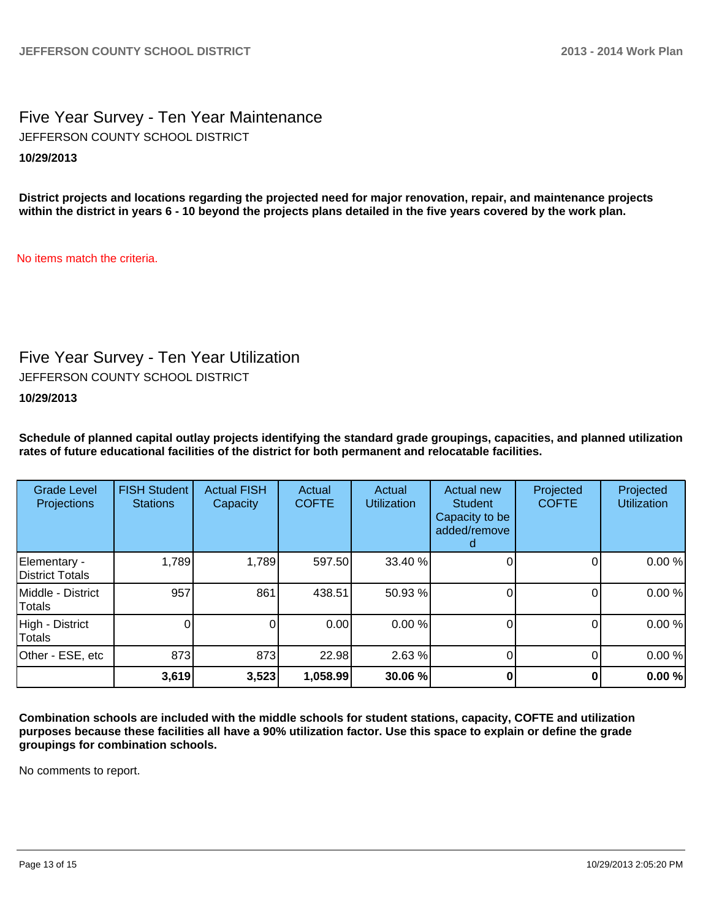### Five Year Survey - Ten Year Maintenance **10/29/2013** JEFFERSON COUNTY SCHOOL DISTRICT

**District projects and locations regarding the projected need for major renovation, repair, and maintenance projects within the district in years 6 - 10 beyond the projects plans detailed in the five years covered by the work plan.**

No items match the criteria.

## Five Year Survey - Ten Year Utilization

JEFFERSON COUNTY SCHOOL DISTRICT

**10/29/2013**

**Schedule of planned capital outlay projects identifying the standard grade groupings, capacities, and planned utilization rates of future educational facilities of the district for both permanent and relocatable facilities.**

| <b>Grade Level</b><br><b>Projections</b> | <b>FISH Student</b><br><b>Stations</b> | <b>Actual FISH</b><br>Capacity | Actual<br><b>COFTE</b> | Actual<br><b>Utilization</b> | Actual new<br><b>Student</b><br>Capacity to be<br>added/remove | Projected<br><b>COFTE</b> | Projected<br><b>Utilization</b> |
|------------------------------------------|----------------------------------------|--------------------------------|------------------------|------------------------------|----------------------------------------------------------------|---------------------------|---------------------------------|
| Elementary -<br>District Totals          | 1,789                                  | 1,789                          | 597.50                 | 33.40 %                      |                                                                | 0                         | 0.00%                           |
| Middle - District<br>Totals              | 957                                    | 861                            | 438.51                 | 50.93 %                      |                                                                |                           | 0.00%                           |
| High - District<br>Totals                |                                        |                                | 0.00                   | 0.00%                        |                                                                | O                         | 0.00%                           |
| Other - ESE, etc                         | 873                                    | 873                            | 22.98                  | 2.63%                        |                                                                | 0                         | 0.00%                           |
|                                          | 3,619                                  | 3,523                          | 1,058.99               | 30.06 %                      |                                                                |                           | 0.00%                           |

**Combination schools are included with the middle schools for student stations, capacity, COFTE and utilization purposes because these facilities all have a 90% utilization factor. Use this space to explain or define the grade groupings for combination schools.**

No comments to report.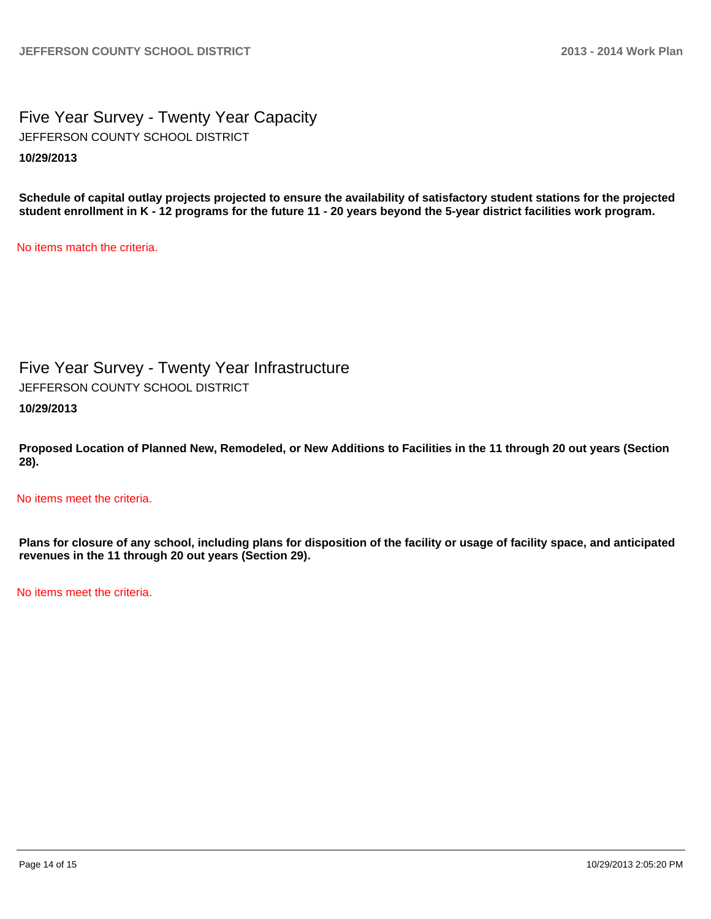Five Year Survey - Twenty Year Capacity **10/29/2013** JEFFERSON COUNTY SCHOOL DISTRICT

**Schedule of capital outlay projects projected to ensure the availability of satisfactory student stations for the projected student enrollment in K - 12 programs for the future 11 - 20 years beyond the 5-year district facilities work program.**

No items match the criteria.

Five Year Survey - Twenty Year Infrastructure

JEFFERSON COUNTY SCHOOL DISTRICT

**10/29/2013**

**Proposed Location of Planned New, Remodeled, or New Additions to Facilities in the 11 through 20 out years (Section 28).**

No items meet the criteria.

**Plans for closure of any school, including plans for disposition of the facility or usage of facility space, and anticipated revenues in the 11 through 20 out years (Section 29).**

No items meet the criteria.